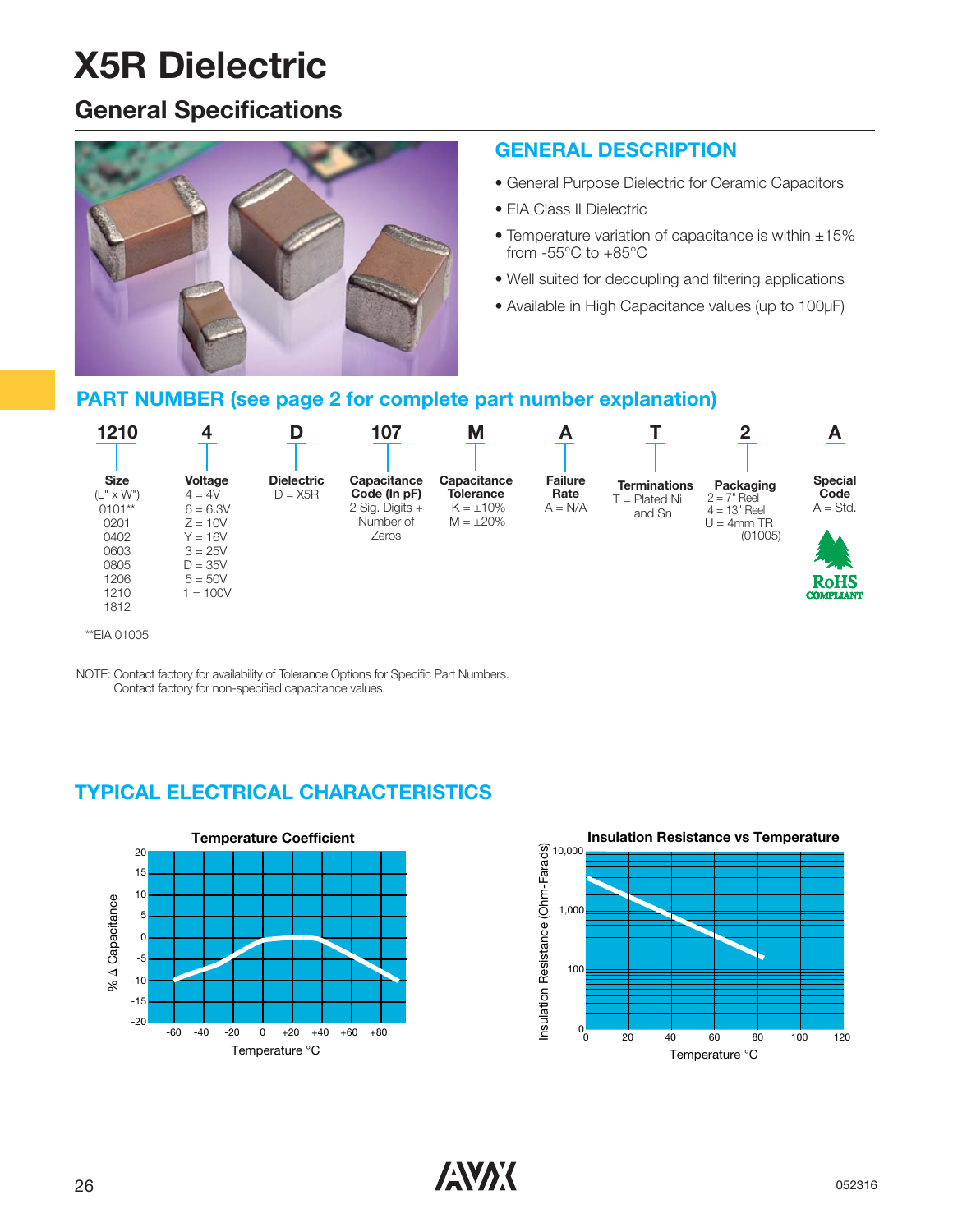### **General Specifications**



#### **GENERAL DESCRIPTION**

- General Purpose Dielectric for Ceramic Capacitors
- EIA Class II Dielectric
- Temperature variation of capacitance is within ±15% from -55°C to +85°C
- Well suited for decoupling and filtering applications
- Available in High Capacitance values (up to 100μF)

#### **PART NUMBER (see page 2 for complete part number explanation)**



NOTE: Contact factory for availability of Tolerance Options for Specific Part Numbers. Contact factory for non-specified capacitance values.

### **TYPICAL ELECTRICAL CHARACTERISTICS**



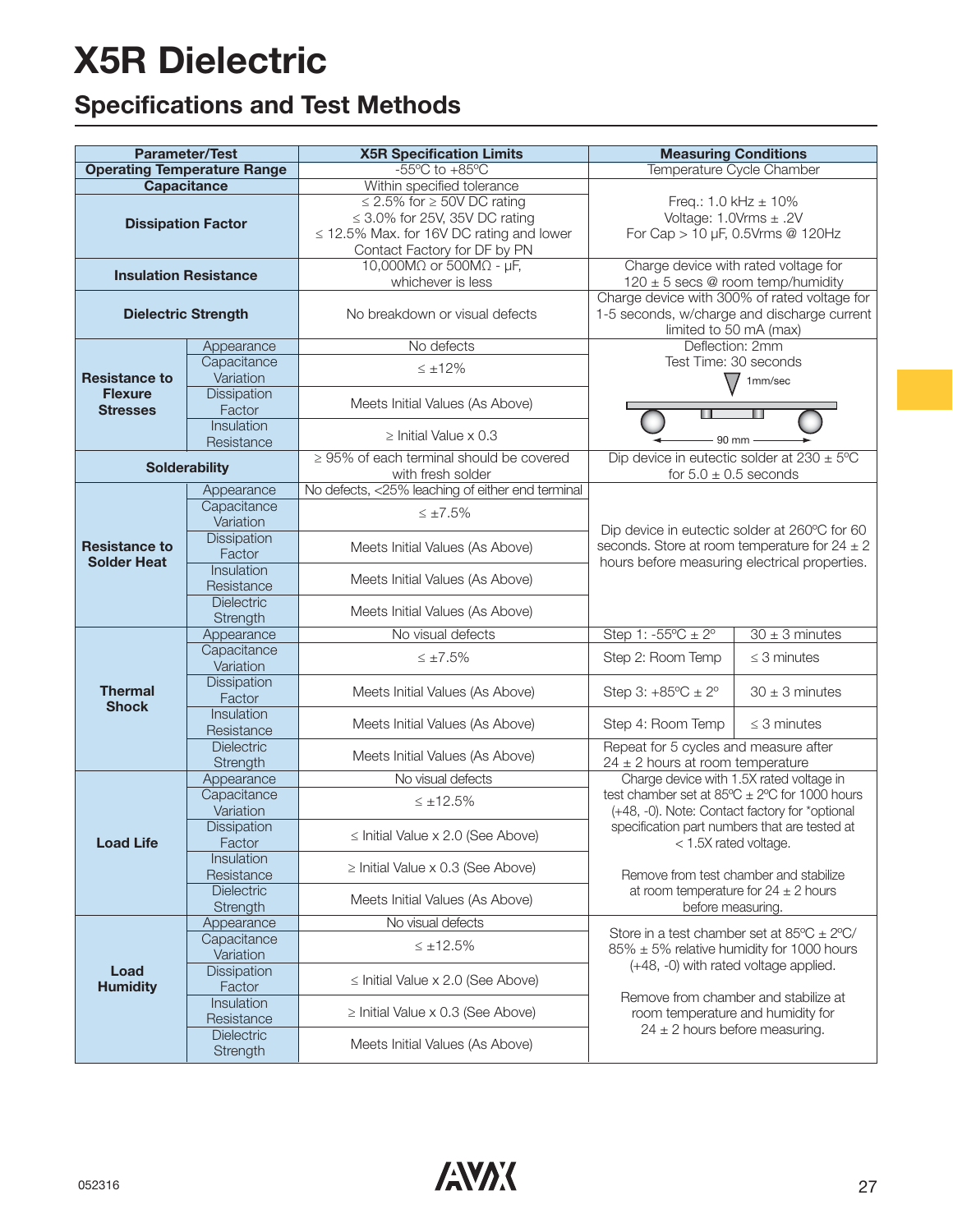### **Specifications and Test Methods**

| <b>Parameter/Test</b>                      |                                            | <b>X5R Specification Limits</b>                                                                          | <b>Measuring Conditions</b>                                                                                           |                                                                                                                          |  |  |  |  |  |
|--------------------------------------------|--------------------------------------------|----------------------------------------------------------------------------------------------------------|-----------------------------------------------------------------------------------------------------------------------|--------------------------------------------------------------------------------------------------------------------------|--|--|--|--|--|
| <b>Operating Temperature Range</b>         |                                            | $-55^{\circ}$ C to $+85^{\circ}$ C                                                                       | Temperature Cycle Chamber                                                                                             |                                                                                                                          |  |  |  |  |  |
| <b>Capacitance</b>                         |                                            | Within specified tolerance<br>$\leq$ 2.5% for $\geq$ 50V DC rating<br>$\leq$ 3.0% for 25V, 35V DC rating | Freq.: $1.0$ kHz $\pm$ 10%                                                                                            |                                                                                                                          |  |  |  |  |  |
| <b>Dissipation Factor</b>                  |                                            | $\leq$ 12.5% Max. for 16V DC rating and lower<br>Contact Factory for DF by PN                            | Voltage: $1.0Vrms \pm .2V$<br>For Cap > 10 µF, 0.5Vrms @ 120Hz                                                        |                                                                                                                          |  |  |  |  |  |
| <b>Insulation Resistance</b>               |                                            | 10,000M $\Omega$ or 500M $\Omega$ - $\mu$ F,<br>whichever is less                                        | Charge device with rated voltage for<br>$120 \pm 5$ secs @ room temp/humidity                                         |                                                                                                                          |  |  |  |  |  |
| <b>Dielectric Strength</b>                 |                                            | No breakdown or visual defects                                                                           | Charge device with 300% of rated voltage for<br>1-5 seconds, w/charge and discharge current<br>limited to 50 mA (max) |                                                                                                                          |  |  |  |  |  |
|                                            | Appearance                                 | No defects                                                                                               | Deflection: 2mm                                                                                                       |                                                                                                                          |  |  |  |  |  |
|                                            | Capacitance                                | $\leq \pm 12\%$                                                                                          | Test Time: 30 seconds                                                                                                 |                                                                                                                          |  |  |  |  |  |
| <b>Resistance to</b>                       | Variation                                  |                                                                                                          |                                                                                                                       | 1mm/sec                                                                                                                  |  |  |  |  |  |
| <b>Flexure</b><br><b>Stresses</b>          | <b>Dissipation</b><br>Factor<br>Insulation | Meets Initial Values (As Above)                                                                          |                                                                                                                       |                                                                                                                          |  |  |  |  |  |
|                                            | Resistance                                 | $\geq$ Initial Value x 0.3                                                                               | 90 mm                                                                                                                 |                                                                                                                          |  |  |  |  |  |
|                                            | <b>Solderability</b>                       | $\geq$ 95% of each terminal should be covered<br>with fresh solder                                       | Dip device in eutectic solder at $230 \pm 5^{\circ}$ C<br>for $5.0 \pm 0.5$ seconds                                   |                                                                                                                          |  |  |  |  |  |
|                                            | Appearance                                 | No defects, <25% leaching of either end terminal                                                         |                                                                                                                       |                                                                                                                          |  |  |  |  |  |
|                                            | Capacitance                                | $\leq \pm 7.5\%$                                                                                         |                                                                                                                       |                                                                                                                          |  |  |  |  |  |
|                                            | Variation                                  |                                                                                                          | Dip device in eutectic solder at 260°C for 60                                                                         |                                                                                                                          |  |  |  |  |  |
| <b>Resistance to</b><br><b>Solder Heat</b> | <b>Dissipation</b>                         | Meets Initial Values (As Above)                                                                          | seconds. Store at room temperature for $24 \pm 2$                                                                     |                                                                                                                          |  |  |  |  |  |
|                                            | Factor                                     |                                                                                                          | hours before measuring electrical properties.                                                                         |                                                                                                                          |  |  |  |  |  |
|                                            | Insulation                                 | Meets Initial Values (As Above)                                                                          |                                                                                                                       |                                                                                                                          |  |  |  |  |  |
|                                            | Resistance                                 |                                                                                                          |                                                                                                                       |                                                                                                                          |  |  |  |  |  |
|                                            | Dielectric<br>Strength                     | Meets Initial Values (As Above)                                                                          |                                                                                                                       |                                                                                                                          |  |  |  |  |  |
|                                            | Appearance                                 | No visual defects                                                                                        | Step 1: $-55^{\circ}C \pm 2^{\circ}$                                                                                  | $30 \pm 3$ minutes                                                                                                       |  |  |  |  |  |
|                                            | Capacitance                                |                                                                                                          |                                                                                                                       |                                                                                                                          |  |  |  |  |  |
|                                            | Variation                                  | $\leq \pm 7.5\%$                                                                                         | Step 2: Room Temp                                                                                                     | $\leq$ 3 minutes                                                                                                         |  |  |  |  |  |
| <b>Thermal</b><br><b>Shock</b>             | <b>Dissipation</b><br>Factor               | Meets Initial Values (As Above)                                                                          | Step 3: $+85^{\circ}$ C $\pm 2^{\circ}$                                                                               | $30 \pm 3$ minutes                                                                                                       |  |  |  |  |  |
|                                            | Insulation<br>Resistance                   | Meets Initial Values (As Above)                                                                          | Step 4: Room Temp                                                                                                     | $\leq$ 3 minutes                                                                                                         |  |  |  |  |  |
|                                            | Dielectric                                 | Meets Initial Values (As Above)                                                                          | Repeat for 5 cycles and measure after                                                                                 |                                                                                                                          |  |  |  |  |  |
|                                            | Strength                                   |                                                                                                          | $24 \pm 2$ hours at room temperature<br>Charge device with 1.5X rated voltage in                                      |                                                                                                                          |  |  |  |  |  |
|                                            | Appearance                                 | No visual defects                                                                                        |                                                                                                                       |                                                                                                                          |  |  |  |  |  |
|                                            | Capacitance<br>Variation                   | $\leq \pm 12.5\%$                                                                                        | test chamber set at $85^{\circ}C \pm 2^{\circ}C$ for 1000 hours                                                       |                                                                                                                          |  |  |  |  |  |
| <b>Load Life</b>                           | Dissipation<br>Factor                      | $\le$ Initial Value x 2.0 (See Above)                                                                    |                                                                                                                       | (+48, -0). Note: Contact factory for *optional<br>specification part numbers that are tested at<br>< 1.5X rated voltage. |  |  |  |  |  |
|                                            | Insulation<br>Resistance                   | $\ge$ Initial Value x 0.3 (See Above)                                                                    | Remove from test chamber and stabilize                                                                                |                                                                                                                          |  |  |  |  |  |
|                                            | <b>Dielectric</b><br>Strength              | Meets Initial Values (As Above)                                                                          | at room temperature for $24 \pm 2$ hours<br>before measuring.                                                         |                                                                                                                          |  |  |  |  |  |
|                                            | Appearance                                 | No visual defects                                                                                        | Store in a test chamber set at $85^{\circ}$ C $\pm$ 2°C/                                                              |                                                                                                                          |  |  |  |  |  |
|                                            | Capacitance<br>Variation                   | $\leq \pm 12.5\%$                                                                                        | $85\% \pm 5\%$ relative humidity for 1000 hours<br>(+48, -0) with rated voltage applied.                              |                                                                                                                          |  |  |  |  |  |
| Load<br><b>Humidity</b>                    | Dissipation<br>Factor                      | $\le$ Initial Value x 2.0 (See Above)                                                                    | Remove from chamber and stabilize at                                                                                  |                                                                                                                          |  |  |  |  |  |
|                                            | Insulation<br>Resistance                   | $\geq$ Initial Value x 0.3 (See Above)                                                                   | room temperature and humidity for<br>$24 \pm 2$ hours before measuring.                                               |                                                                                                                          |  |  |  |  |  |
|                                            | Dielectric<br>Strength                     | Meets Initial Values (As Above)                                                                          |                                                                                                                       |                                                                                                                          |  |  |  |  |  |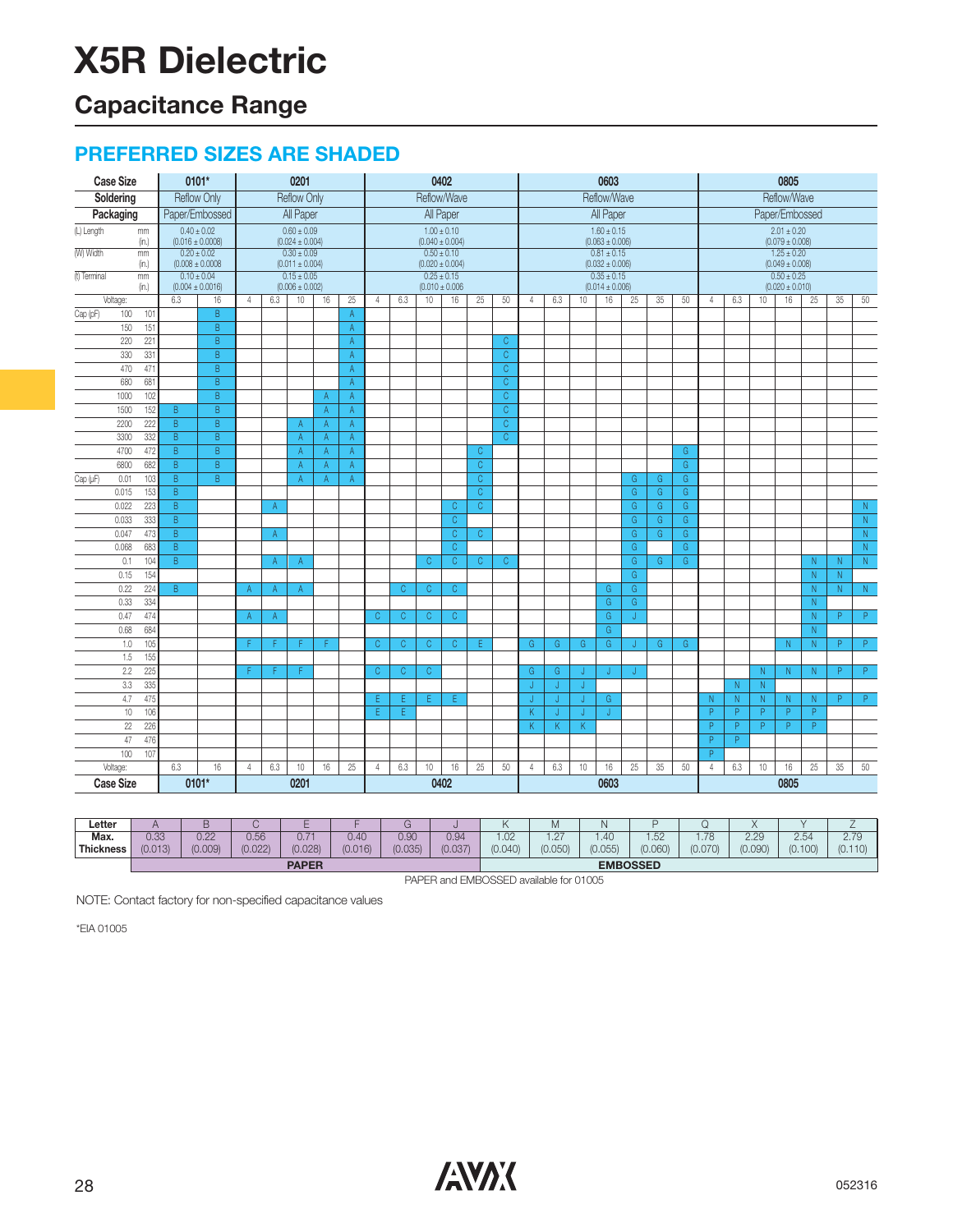### **Capacitance Range**

#### **PREFERRED SIZES ARE SHADED**

| <b>Case Size</b>            | 0101*                                   |                         |                |                                        | 0201               |              |                |                |                                        |              | 0402                                   |                |                         |                |     |    | 0603                                   |                |    |                | 0805                                   |          |                |                                        |                       |                         |                         |  |
|-----------------------------|-----------------------------------------|-------------------------|----------------|----------------------------------------|--------------------|--------------|----------------|----------------|----------------------------------------|--------------|----------------------------------------|----------------|-------------------------|----------------|-----|----|----------------------------------------|----------------|----|----------------|----------------------------------------|----------|----------------|----------------------------------------|-----------------------|-------------------------|-------------------------|--|
| Soldering                   | <b>Reflow Only</b>                      |                         |                |                                        | <b>Reflow Only</b> |              |                |                |                                        |              | Reflow/Wave                            |                |                         |                |     |    | Reflow/Wave                            |                |    |                | Reflow/Wave                            |          |                |                                        |                       |                         |                         |  |
| Packaging                   | Paper/Embossed                          |                         | All Paper      |                                        |                    |              |                |                | All Paper<br>All Paper                 |              |                                        |                |                         |                |     |    | Paper/Embossed                         |                |    |                |                                        |          |                |                                        |                       |                         |                         |  |
| (L) Length<br>mm<br>(in.)   | $0.40 \pm 0.02$<br>$(0.016 \pm 0.0008)$ |                         |                | $0.60 \pm 0.09$<br>$(0.024 \pm 0.004)$ |                    |              |                |                |                                        |              | $1.00 \pm 0.10$<br>$(0.040 \pm 0.004)$ |                |                         |                |     |    | $1.60 \pm 0.15$<br>$(0.063 \pm 0.006)$ |                |    |                | $2.01 \pm 0.20$<br>$(0.079 \pm 0.008)$ |          |                |                                        |                       |                         |                         |  |
| (W) Width<br>mm<br>(in.)    | $0.20 \pm 0.02$<br>$(0.008 \pm 0.0008$  |                         |                | $0.30 \pm 0.09$<br>$(0.011 \pm 0.004)$ |                    |              |                |                |                                        |              | $0.50 \pm 0.10$<br>$(0.020 \pm 0.004)$ |                |                         |                |     |    | $0.81 \pm 0.15$<br>$(0.032 \pm 0.006)$ |                |    |                |                                        |          |                | $1.25 \pm 0.20$<br>$(0.049 \pm 0.008)$ |                       |                         |                         |  |
| (t) Terminal<br>mm<br>(in.) | $0.10 \pm 0.04$<br>$(0.004 \pm 0.0016)$ |                         |                | $0.15 \pm 0.05$<br>$(0.006 \pm 0.002)$ |                    |              |                |                | $0.25 \pm 0.15$<br>$(0.010 \pm 0.006)$ |              |                                        |                |                         |                |     |    | $0.35 \pm 0.15$<br>$(0.014 \pm 0.006)$ |                |    |                | $0.50 \pm 0.25$<br>$(0.020 \pm 0.010)$ |          |                |                                        |                       |                         |                         |  |
| Voltage:                    | 6.3                                     | 16                      | 4              | 6.3                                    | 10                 | 16           | 25             | $\overline{4}$ | 6.3                                    | 10           | 16                                     | 25             | 50                      | $\overline{4}$ | 6.3 | 10 | 16                                     | 25             | 35 | 50             | $\overline{4}$                         | 6.3      | 10             | 16                                     | 25                    | 35                      | 50                      |  |
| 101<br>Cap (pF)<br>100      |                                         | B                       |                |                                        |                    |              | $\mathsf A$    |                |                                        |              |                                        |                |                         |                |     |    |                                        |                |    |                |                                        |          |                |                                        |                       |                         |                         |  |
| 151<br>150                  |                                         | $\overline{\mathsf{B}}$ |                |                                        |                    |              | $\mathsf{A}$   |                |                                        |              |                                        |                |                         |                |     |    |                                        |                |    |                |                                        |          |                |                                        |                       |                         |                         |  |
| 220<br>221                  |                                         | B                       |                |                                        |                    |              | $\mathsf{A}$   |                |                                        |              |                                        |                | $\mathbb{C}$            |                |     |    |                                        |                |    |                |                                        |          |                |                                        |                       |                         |                         |  |
| 331<br>330                  |                                         | B                       |                |                                        |                    |              | $\overline{A}$ |                |                                        |              |                                        |                | $\overline{C}$          |                |     |    |                                        |                |    |                |                                        |          |                |                                        |                       |                         |                         |  |
| 470<br>471                  |                                         | B                       |                |                                        |                    |              | $\mathsf A$    |                |                                        |              |                                        |                | $\mathbb{C}$            |                |     |    |                                        |                |    |                |                                        |          |                |                                        |                       |                         |                         |  |
| 681<br>680                  |                                         | $\sf B$                 |                |                                        |                    |              | $\mathsf{A}$   |                |                                        |              |                                        |                | $\overline{\mathbb{C}}$ |                |     |    |                                        |                |    |                |                                        |          |                |                                        |                       |                         |                         |  |
| 1000<br>102                 |                                         | B                       |                |                                        |                    | $\mathsf{A}$ | A              |                |                                        |              |                                        |                | $\overline{C}$          |                |     |    |                                        |                |    |                |                                        |          |                |                                        |                       |                         |                         |  |
| 1500<br>152                 | B                                       | $\sf B$                 |                |                                        |                    | A            | $\mathsf{A}$   |                |                                        |              |                                        |                | $\overline{\mathbb{C}}$ |                |     |    |                                        |                |    |                |                                        |          |                |                                        |                       |                         |                         |  |
| 222<br>2200                 | $\overline{B}$                          | $\overline{B}$          |                |                                        | Α                  | $\mathsf{A}$ | $\overline{A}$ |                |                                        |              |                                        |                | $\overline{C}$          |                |     |    |                                        |                |    |                |                                        |          |                |                                        |                       |                         |                         |  |
| 332<br>3300                 | B                                       | $\sf B$                 |                |                                        | $\mathsf{A}$       | A            | $\mathsf{A}$   |                |                                        |              |                                        |                | $\overline{\mathbb{C}}$ |                |     |    |                                        |                |    |                |                                        |          |                |                                        |                       |                         |                         |  |
| 4700<br>472                 | B                                       | B                       |                |                                        | $\overline{A}$     | A            | $\mathsf{A}$   |                |                                        |              |                                        | $\mathbb{C}$   |                         |                |     |    |                                        |                |    | G              |                                        |          |                |                                        |                       |                         |                         |  |
| 682<br>6800                 | $\overline{B}$                          | $\overline{B}$          |                |                                        | A                  | A            | A              |                |                                        |              |                                        | $\overline{C}$ |                         |                |     |    |                                        |                |    | $\overline{G}$ |                                        |          |                |                                        |                       |                         |                         |  |
| Cap (µF)<br>103<br>0.01     | B                                       | B                       |                |                                        | $\overline{A}$     | $\mathsf{A}$ | $\mathsf{A}$   |                |                                        |              |                                        | $\mathbb{C}$   |                         |                |     |    |                                        | G              | G  | G              |                                        |          |                |                                        |                       |                         |                         |  |
| 153<br>0.015                | $\overline{\mathsf{B}}$                 |                         |                |                                        |                    |              |                |                |                                        |              |                                        | $\overline{C}$ |                         |                |     |    |                                        | G              | G  | G              |                                        |          |                |                                        |                       |                         |                         |  |
| 223<br>0.022                | $\overline{B}$                          |                         |                | $\mathsf{A}$                           |                    |              |                |                |                                        |              | $\mathbb{C}$                           | $\mathcal{C}$  |                         |                |     |    |                                        | G              | G  | G              |                                        |          |                |                                        |                       |                         | N.                      |  |
| 0.033<br>333                | $\overline{B}$                          |                         |                |                                        |                    |              |                |                |                                        |              | $\mathsf{C}$                           |                |                         |                |     |    |                                        | $\overline{G}$ | G  | $\overline{G}$ |                                        |          |                |                                        |                       |                         | $\overline{\textsf{N}}$ |  |
| 473<br>0.047                | $\overline{B}$                          |                         |                | $\mathsf{A}$                           |                    |              |                |                |                                        |              | $\mathsf C$                            | $\mathsf{C}$   |                         |                |     |    |                                        | G              | G  | $\overline{G}$ |                                        |          |                |                                        |                       |                         | $\mathsf{N}$            |  |
| 0.068<br>683                | B                                       |                         |                |                                        |                    |              |                |                |                                        |              | $\mathsf{C}$                           |                |                         |                |     |    |                                        | G              |    | G              |                                        |          |                |                                        |                       |                         | ${\sf N}$               |  |
| 0.1<br>104                  | B                                       |                         |                | $\mathsf{A}$                           | $\mathsf{A}$       |              |                |                |                                        | $\mathbb{C}$ | $\mathsf{C}$                           | C.             | $\mathbb{C}$            |                |     |    |                                        | G              | G  | G              |                                        |          |                |                                        | N.                    | N                       | N                       |  |
| 154<br>0.15                 |                                         |                         |                |                                        |                    |              |                |                |                                        |              |                                        |                |                         |                |     |    |                                        | G              |    |                |                                        |          |                |                                        | N.                    | N                       |                         |  |
| 0.22<br>224                 | $\overline{\mathsf{B}}$                 |                         | A              | A                                      | A                  |              |                |                | $\mathbb{C}$                           | $\mathsf C$  | C                                      |                |                         |                |     |    | G                                      | G              |    |                |                                        |          |                |                                        | $\overline{\text{N}}$ | $\overline{\mathsf{N}}$ | N                       |  |
| 334<br>0.33                 |                                         |                         |                |                                        |                    |              |                |                |                                        |              |                                        |                |                         |                |     |    | G                                      | G              |    |                |                                        |          |                |                                        | N                     |                         |                         |  |
| 474<br>0.47                 |                                         |                         | A              | $\overline{A}$                         |                    |              |                | $\mathsf{C}$   | C                                      | $\mathbb{C}$ | $\mathbb{C}$                           |                |                         |                |     |    | G                                      | J              |    |                |                                        |          |                |                                        | ${\sf N}$             | $\overline{P}$          | P                       |  |
| 0.68<br>684                 |                                         |                         |                |                                        |                    |              |                |                |                                        |              |                                        |                |                         |                |     |    | G                                      |                |    |                |                                        |          |                |                                        | N                     |                         |                         |  |
| 105<br>1.0                  |                                         |                         | F              |                                        | F                  | F            |                | C              | $\mathsf{C}$                           | $\mathsf{C}$ | $\mathsf{C}$                           | Ε              |                         | G              | G   | G  | G                                      | J              | G  | G              |                                        |          |                | $\mathbb N$                            | ${\sf N}$             | P                       | $\overline{P}$          |  |
| 155<br>1.5                  |                                         |                         |                |                                        |                    |              |                |                |                                        |              |                                        |                |                         |                |     |    |                                        |                |    |                |                                        |          |                |                                        |                       |                         |                         |  |
| 225<br>$2.2^{\circ}$        |                                         |                         | F              |                                        | F                  |              |                | $\mathbb{C}$   | C                                      | $\mathsf C$  |                                        |                |                         | G              | G   | IJ |                                        | J              |    |                |                                        |          | N              | $\mathbb N$                            | N                     | P                       | P.                      |  |
| 335<br>3.3                  |                                         |                         |                |                                        |                    |              |                |                |                                        |              |                                        |                |                         | J              | J   | J  |                                        |                |    |                |                                        | N        | N.             |                                        |                       |                         |                         |  |
| 475<br>4.7                  |                                         |                         |                |                                        |                    |              |                | Ε              | E.                                     | E            | Ε                                      |                |                         | IJ             | J   | IJ | G                                      |                |    |                | N                                      | N        | N              | N                                      | N                     | P                       | P.                      |  |
| 106<br>10                   |                                         |                         |                |                                        |                    |              |                | Ε              | Ε                                      |              |                                        |                |                         | K              |     | -J | J.                                     |                |    |                | P                                      | <b>p</b> | P.             | P                                      | P                     |                         |                         |  |
| 226<br>22                   |                                         |                         |                |                                        |                    |              |                |                |                                        |              |                                        |                |                         | Κ              | K.  | К  |                                        |                |    |                | P                                      | P.       | $\overline{P}$ | $\overline{P}$                         | $\overline{P}$        |                         |                         |  |
| 47<br>476                   |                                         |                         |                |                                        |                    |              |                |                |                                        |              |                                        |                |                         |                |     |    |                                        |                |    |                | P                                      | P        |                |                                        |                       |                         |                         |  |
| 100<br>107                  |                                         |                         |                |                                        |                    |              |                |                |                                        |              |                                        |                |                         |                |     |    |                                        |                |    |                | $\overline{P}$                         |          |                |                                        |                       |                         |                         |  |
| Voltage:                    | 6.3                                     | 16                      | $\overline{4}$ | 6.3                                    | 10                 | 16           | 25             | $\overline{4}$ | 6.3                                    | 10           | 16                                     | 25             | 50                      | $\overline{4}$ | 6.3 | 10 | 16                                     | 25             | 35 | 50             | $\overline{4}$                         | 6.3      | 10             | 16                                     | 25                    | 35                      | 50                      |  |
| <b>Case Size</b>            | 0101*                                   |                         |                |                                        | 0201               |              |                |                |                                        |              | 0402                                   |                |                         |                |     |    | 0603                                   |                |    |                |                                        |          |                | 0805                                   |                       |                         |                         |  |

|            | <b>PAPER</b> |              |         |                              |         |         |         |         |                    |                   | <b>EMBOSSED</b> |         |         |         |               |
|------------|--------------|--------------|---------|------------------------------|---------|---------|---------|---------|--------------------|-------------------|-----------------|---------|---------|---------|---------------|
| Thickness. | (0.013)      | (0.009)      | (0.022) | (0.028)                      | (0.016) | (0.035) | (0.037) | (0.040) | 0.050              | (0.055)           | (0.060)         | (0.070) | (0.090) | (0.100) | (0.110)       |
| Max.       | 0.33         | הה ה<br>U.ZZ | 0.56    | $\sim$ $\rightarrow$<br>U. 1 | 0.40    | 0.90    | 0.94    | 1.02    | $\sqrt{27}$<br>$-$ | $\Lambda$<br>1.4U | 1.52            | .78     | ספי     | 2.54    | 0.70<br>د . ا |
| Letter     |              |              |         | −                            |         |         |         |         | <b>IVI</b>         |                   |                 |         |         |         | $\sim$        |

PAPER and EMBOSSED available for 01005

NOTE: Contact factory for non-specified capacitance values

\*EIA 01005